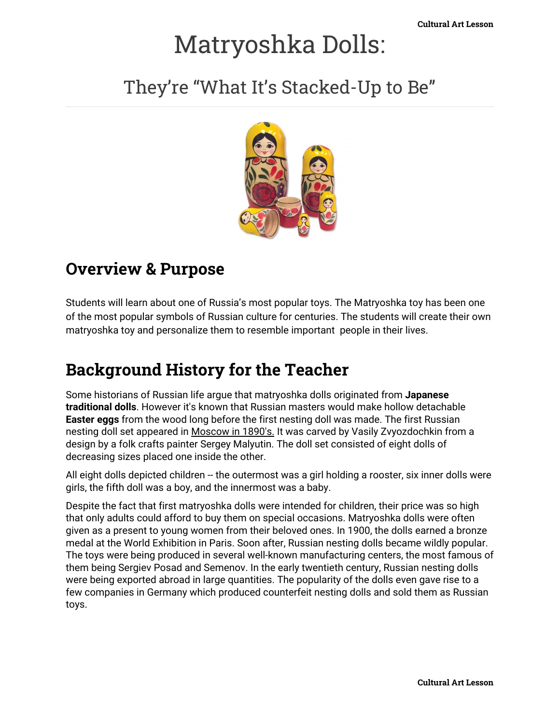# Matryoshka Dolls:

They're "What It's Stacked-Up to Be"



#### **Overview & Purpose**

Students will learn about one of Russia's most popular toys. The Matryoshka toy has been one of the most popular symbols of Russian culture for centuries. The students will create their own matryoshka toy and personalize them to resemble important people in their lives.

## **Background History for the Teacher**

Some historians of Russian life argue that matryoshka dolls originated from **Japanese traditional dolls**. However it's known that Russian masters would make hollow detachable **Easter eggs** from the wood long before the first nesting doll was made. The first Russian nesting doll set appeared in Moscow in 1890's. It was carved by Vasily Zvyozdochkin from a design by a folk crafts painter Sergey Malyutin. The doll set consisted of eight dolls of decreasing sizes placed one inside the other.

All eight dolls depicted children -- the outermost was a girl holding a rooster, six inner dolls were girls, the fifth doll was a boy, and the innermost was a baby.

Despite the fact that first matryoshka dolls were intended for children, their price was so high that only adults could afford to buy them on special occasions. Matryoshka dolls were often given as a present to young women from their beloved ones. In 1900, the dolls earned a bronze medal at the World Exhibition in Paris. Soon after, Russian nesting dolls became wildly popular. The toys were being produced in several well-known manufacturing centers, the most famous of them being Sergiev Posad and Semenov. In the early twentieth century, Russian nesting dolls were being exported abroad in large quantities. The popularity of the dolls even gave rise to a few companies in Germany which produced counterfeit nesting dolls and sold them as Russian toys.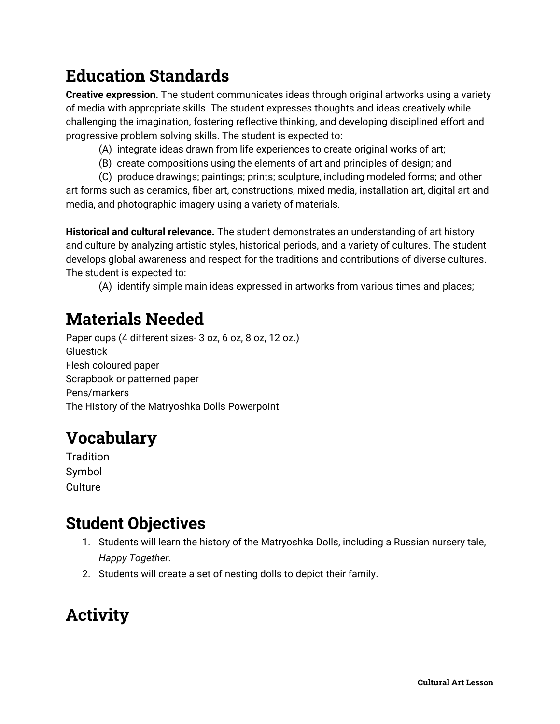# **Education Standards**

**Creative expression.** The student communicates ideas through original artworks using a variety of media with appropriate skills. The student expresses thoughts and ideas creatively while challenging the imagination, fostering reflective thinking, and developing disciplined effort and progressive problem solving skills. The student is expected to:

- (A) integrate ideas drawn from life experiences to create original works of art;
- (B) create compositions using the elements of art and principles of design; and
- (C) produce drawings; paintings; prints; sculpture, including modeled forms; and other

art forms such as ceramics, fiber art, constructions, mixed media, installation art, digital art and media, and photographic imagery using a variety of materials.

**Historical and cultural relevance.** The student demonstrates an understanding of art history and culture by analyzing artistic styles, historical periods, and a variety of cultures. The student develops global awareness and respect for the traditions and contributions of diverse cultures. The student is expected to:

(A) identify simple main ideas expressed in artworks from various times and places;

## **Materials Needed**

Paper cups (4 different sizes- 3 oz, 6 oz, 8 oz, 12 oz.) Gluestick Flesh coloured paper Scrapbook or patterned paper Pens/markers The History of the Matryoshka Dolls Powerpoint

## **Vocabulary**

**Tradition** Symbol **Culture** 

#### **Student Objectives**

- 1. Students will learn the history of the Matryoshka Dolls, including a Russian nursery tale, *Happy Together.*
- 2. Students will create a set of nesting dolls to depict their family.

# **Activity**